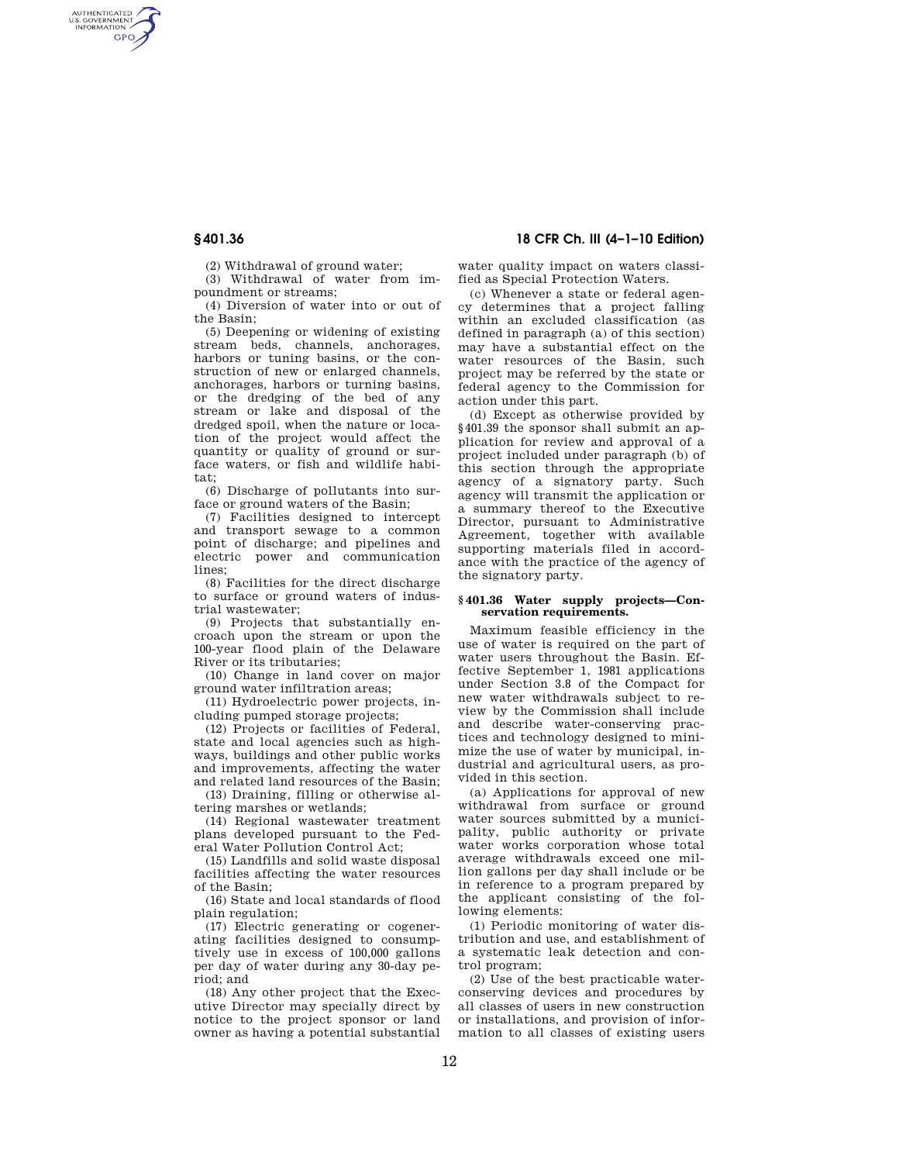AUTHENTICATED<br>U.S. GOVERNMENT<br>INFORMATION **GPO** 

(2) Withdrawal of ground water;

(3) Withdrawal of water from impoundment or streams;

(4) Diversion of water into or out of the Basin;

(5) Deepening or widening of existing stream beds, channels, anchorages, harbors or tuning basins, or the construction of new or enlarged channels, anchorages, harbors or turning basins, or the dredging of the bed of any stream or lake and disposal of the dredged spoil, when the nature or location of the project would affect the quantity or quality of ground or surface waters, or fish and wildlife habitat;

(6) Discharge of pollutants into surface or ground waters of the Basin;

(7) Facilities designed to intercept and transport sewage to a common point of discharge; and pipelines and electric power and communication lines;

(8) Facilities for the direct discharge to surface or ground waters of industrial wastewater;

(9) Projects that substantially encroach upon the stream or upon the 100-year flood plain of the Delaware River or its tributaries;

(10) Change in land cover on major ground water infiltration areas;

(11) Hydroelectric power projects, including pumped storage projects;

(12) Projects or facilities of Federal, state and local agencies such as highways, buildings and other public works and improvements, affecting the water and related land resources of the Basin;

(13) Draining, filling or otherwise altering marshes or wetlands;

(14) Regional wastewater treatment plans developed pursuant to the Federal Water Pollution Control Act;

(15) Landfills and solid waste disposal facilities affecting the water resources of the Basin;

(16) State and local standards of flood plain regulation;

(17) Electric generating or cogenerating facilities designed to consumptively use in excess of 100,000 gallons per day of water during any 30-day period; and

(18) Any other project that the Executive Director may specially direct by notice to the project sponsor or land owner as having a potential substantial

# **§ 401.36 18 CFR Ch. III (4–1–10 Edition)**

water quality impact on waters classified as Special Protection Waters.

(c) Whenever a state or federal agency determines that a project falling within an excluded classification (as defined in paragraph (a) of this section) may have a substantial effect on the water resources of the Basin, such project may be referred by the state or federal agency to the Commission for action under this part.

(d) Except as otherwise provided by §401.39 the sponsor shall submit an application for review and approval of a project included under paragraph (b) of this section through the appropriate agency of a signatory party. Such agency will transmit the application or a summary thereof to the Executive Director, pursuant to Administrative Agreement, together with available supporting materials filed in accordance with the practice of the agency of the signatory party.

## **§ 401.36 Water supply projects—Conservation requirements.**

Maximum feasible efficiency in the use of water is required on the part of water users throughout the Basin. Effective September 1, 1981 applications under Section 3.8 of the Compact for new water withdrawals subject to review by the Commission shall include and describe water-conserving practices and technology designed to minimize the use of water by municipal, industrial and agricultural users, as provided in this section.

(a) Applications for approval of new withdrawal from surface or ground water sources submitted by a municipality, public authority or private water works corporation whose total average withdrawals exceed one million gallons per day shall include or be in reference to a program prepared by the applicant consisting of the following elements:

(1) Periodic monitoring of water distribution and use, and establishment of a systematic leak detection and control program;

(2) Use of the best practicable waterconserving devices and procedures by all classes of users in new construction or installations, and provision of information to all classes of existing users